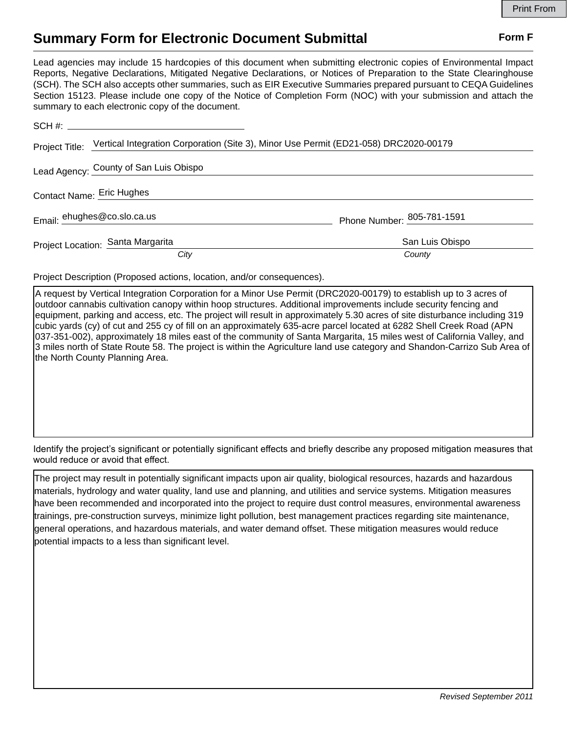## **Summary Form for Electronic Document Submittal Form F Form F**

Lead agencies may include 15 hardcopies of this document when submitting electronic copies of Environmental Impact Reports, Negative Declarations, Mitigated Negative Declarations, or Notices of Preparation to the State Clearinghouse (SCH). The SCH also accepts other summaries, such as EIR Executive Summaries prepared pursuant to CEQA Guidelines Section 15123. Please include one copy of the Notice of Completion Form (NOC) with your submission and attach the summary to each electronic copy of the document.

|                           | Project Title: Vertical Integration Corporation (Site 3), Minor Use Permit (ED21-058) DRC2020-00179 |                            |
|---------------------------|-----------------------------------------------------------------------------------------------------|----------------------------|
|                           | Lead Agency: County of San Luis Obispo                                                              |                            |
| Contact Name: Eric Hughes |                                                                                                     |                            |
|                           | Email: ehughes@co.slo.ca.us                                                                         | Phone Number: 805-781-1591 |
|                           | Project Location: Santa Margarita                                                                   | San Luis Obispo            |
|                           | City                                                                                                | County                     |

Project Description (Proposed actions, location, and/or consequences).

A request by Vertical Integration Corporation for a Minor Use Permit (DRC2020-00179) to establish up to 3 acres of outdoor cannabis cultivation canopy within hoop structures. Additional improvements include security fencing and equipment, parking and access, etc. The project will result in approximately 5.30 acres of site disturbance including 319 cubic yards (cy) of cut and 255 cy of fill on an approximately 635-acre parcel located at 6282 Shell Creek Road (APN 037-351-002), approximately 18 miles east of the community of Santa Margarita, 15 miles west of California Valley, and 3 miles north of State Route 58. The project is within the Agriculture land use category and Shandon-Carrizo Sub Area of the North County Planning Area.

Identify the project's significant or potentially significant effects and briefly describe any proposed mitigation measures that would reduce or avoid that effect.

The project may result in potentially significant impacts upon air quality, biological resources, hazards and hazardous materials, hydrology and water quality, land use and planning, and utilities and service systems. Mitigation measures have been recommended and incorporated into the project to require dust control measures, environmental awareness trainings, pre-construction surveys, minimize light pollution, best management practices regarding site maintenance, general operations, and hazardous materials, and water demand offset. These mitigation measures would reduce potential impacts to a less than significant level.